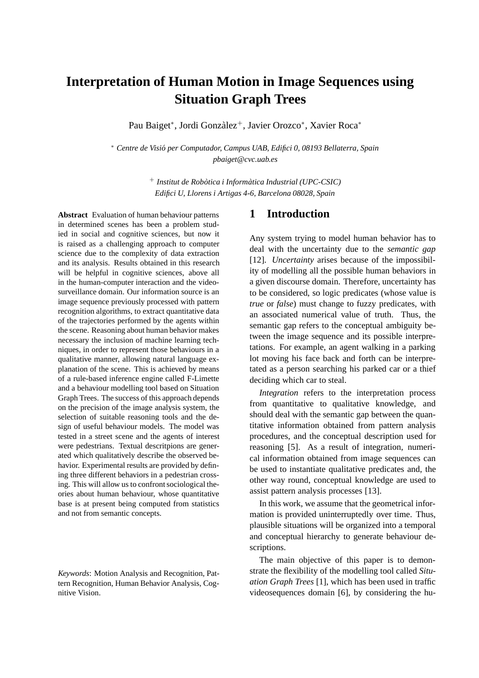# **Interpretation of Human Motion in Image Sequences using Situation Graph Trees**

Pau Baiget\*, Jordi Gonzàlez<sup>+</sup>, Javier Orozco\*, Xavier Roca\*

<sup>∗</sup> *Centre de Visio per Computador, Campus UAB, Edifici 0, 08193 Bellaterra, Spain ´ pbaiget@cvc.uab.es*

> <sup>+</sup> *Institut de Robòtica i Informàtica Industrial (UPC-CSIC) Edifici U, Llorens i Artigas 4-6, Barcelona 08028, Spain*

**Abstract** Evaluation of human behaviour patterns in determined scenes has been a problem studied in social and cognitive sciences, but now it is raised as a challenging approach to computer science due to the complexity of data extraction and its analysis. Results obtained in this research will be helpful in cognitive sciences, above all in the human-computer interaction and the videosurveillance domain. Our information source is an image sequence previously processed with pattern recognition algorithms, to extract quantitative data of the trajectories performed by the agents within the scene. Reasoning about human behavior makes necessary the inclusion of machine learning techniques, in order to represent those behaviours in a qualitative manner, allowing natural language explanation of the scene. This is achieved by means of a rule-based inference engine called F-Limette and a behaviour modelling tool based on Situation Graph Trees. The success of this approach depends on the precision of the image analysis system, the selection of suitable reasoning tools and the design of useful behaviour models. The model was tested in a street scene and the agents of interest were pedestrians. Textual descritpions are generated which qualitatively describe the observed behavior. Experimental results are provided by defining three different behaviors in a pedestrian crossing. This will allow us to confront sociological theories about human behaviour, whose quantitative base is at present being computed from statistics and not from semantic concepts.

*Keywords*: Motion Analysis and Recognition, Pattern Recognition, Human Behavior Analysis, Cognitive Vision.

# **1 Introduction**

Any system trying to model human behavior has to deal with the uncertainty due to the *semantic gap* [12]. *Uncertainty* arises because of the impossibility of modelling all the possible human behaviors in a given discourse domain. Therefore, uncertainty has to be considered, so logic predicates (whose value is *true* or *false*) must change to fuzzy predicates, with an associated numerical value of truth. Thus, the semantic gap refers to the conceptual ambiguity between the image sequence and its possible interpretations. For example, an agent walking in a parking lot moving his face back and forth can be interpretated as a person searching his parked car or a thief deciding which car to steal.

*Integration* refers to the interpretation process from quantitative to qualitative knowledge, and should deal with the semantic gap between the quantitative information obtained from pattern analysis procedures, and the conceptual description used for reasoning [5]. As a result of integration, numerical information obtained from image sequences can be used to instantiate qualitative predicates and, the other way round, conceptual knowledge are used to assist pattern analysis processes [13].

In this work, we assume that the geometrical information is provided uninterruptedly over time. Thus, plausible situations will be organized into a temporal and conceptual hierarchy to generate behaviour descriptions.

The main objective of this paper is to demonstrate the flexibility of the modelling tool called *Situation Graph Trees* [1], which has been used in traffic videosequences domain [6], by considering the hu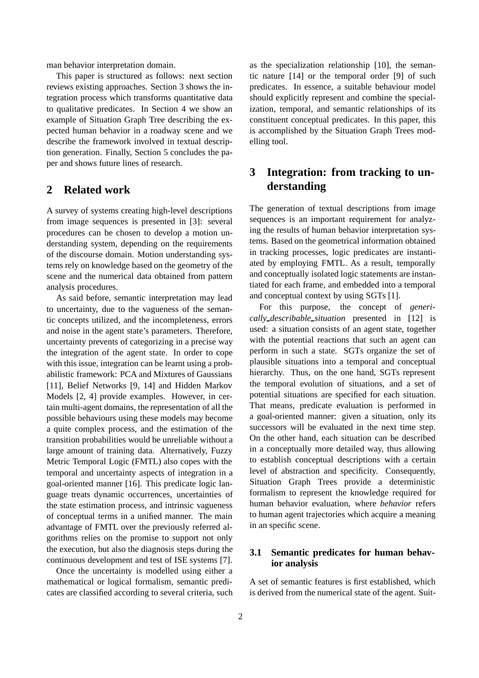man behavior interpretation domain.

This paper is structured as follows: next section reviews existing approaches. Section 3 shows the integration process which transforms quantitative data to qualitative predicates. In Section 4 we show an example of Situation Graph Tree describing the expected human behavior in a roadway scene and we describe the framework involved in textual description generation. Finally, Section 5 concludes the paper and shows future lines of research.

# **2 Related work**

A survey of systems creating high-level descriptions from image sequences is presented in [3]: several procedures can be chosen to develop a motion understanding system, depending on the requirements of the discourse domain. Motion understanding systems rely on knowledge based on the geometry of the scene and the numerical data obtained from pattern analysis procedures.

As said before, semantic interpretation may lead to uncertainty, due to the vagueness of the semantic concepts utilized, and the incompleteness, errors and noise in the agent state's parameters. Therefore, uncertainty prevents of categorizing in a precise way the integration of the agent state. In order to cope with this issue, integration can be learnt using a probabilistic framework: PCA and Mixtures of Gaussians [11], Belief Networks [9, 14] and Hidden Markov Models [2, 4] provide examples. However, in certain multi-agent domains, the representation of all the possible behaviours using these models may become a quite complex process, and the estimation of the transition probabilities would be unreliable without a large amount of training data. Alternatively, Fuzzy Metric Temporal Logic (FMTL) also copes with the temporal and uncertainty aspects of integration in a goal-oriented manner [16]. This predicate logic language treats dynamic occurrences, uncertainties of the state estimation process, and intrinsic vagueness of conceptual terms in a unified manner. The main advantage of FMTL over the previously referred algorithms relies on the promise to support not only the execution, but also the diagnosis steps during the continuous development and test of ISE systems [7].

Once the uncertainty is modelled using either a mathematical or logical formalism, semantic predicates are classified according to several criteria, such as the specialization relationship [10], the semantic nature [14] or the temporal order [9] of such predicates. In essence, a suitable behaviour model should explicitly represent and combine the specialization, temporal, and semantic relationships of its constituent conceptual predicates. In this paper, this is accomplished by the Situation Graph Trees modelling tool.

# **3 Integration: from tracking to understanding**

The generation of textual descriptions from image sequences is an important requirement for analyzing the results of human behavior interpretation systems. Based on the geometrical information obtained in tracking processes, logic predicates are instantiated by employing FMTL. As a result, temporally and conceptually isolated logic statements are instantiated for each frame, and embedded into a temporal and conceptual context by using SGTs [1].

For this purpose, the concept of *generically describable situation* presented in [12] is used: a situation consists of an agent state, together with the potential reactions that such an agent can perform in such a state. SGTs organize the set of plausible situations into a temporal and conceptual hierarchy. Thus, on the one hand, SGTs represent the temporal evolution of situations, and a set of potential situations are specified for each situation. That means, predicate evaluation is performed in a goal-oriented manner: given a situation, only its successors will be evaluated in the next time step. On the other hand, each situation can be described in a conceptually more detailed way, thus allowing to establish conceptual descriptions with a certain level of abstraction and specificity. Consequently, Situation Graph Trees provide a deterministic formalism to represent the knowledge required for human behavior evaluation, where *behavior* refers to human agent trajectories which acquire a meaning in an specific scene.

## **3.1 Semantic predicates for human behavior analysis**

A set of semantic features is first established, which is derived from the numerical state of the agent. Suit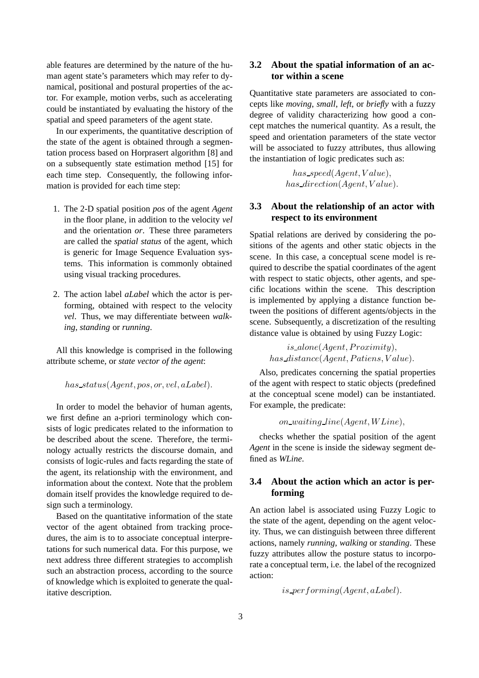able features are determined by the nature of the human agent state's parameters which may refer to dynamical, positional and postural properties of the actor. For example, motion verbs, such as accelerating could be instantiated by evaluating the history of the spatial and speed parameters of the agent state.

In our experiments, the quantitative description of the state of the agent is obtained through a segmentation process based on Horprasert algorithm [8] and on a subsequently state estimation method [15] for each time step. Consequently, the following information is provided for each time step:

- 1. The 2-D spatial position *pos* of the agent *Agent* in the floor plane, in addition to the velocity *vel* and the orientation *or*. These three parameters are called the *spatial status* of the agent, which is generic for Image Sequence Evaluation systems. This information is commonly obtained using visual tracking procedures.
- 2. The action label *aLabel* which the actor is performing, obtained with respect to the velocity *vel*. Thus, we may differentiate between *walking*, *standing* or *running*.

All this knowledge is comprised in the following attribute scheme, or *state vector of the agent*:

*has status*(*Agent, pos, or, vel, aLabel*)*.*

In order to model the behavior of human agents, we first define an a-priori terminology which consists of logic predicates related to the information to be described about the scene. Therefore, the terminology actually restricts the discourse domain, and consists of logic-rules and facts regarding the state of the agent, its relationship with the environment, and information about the context. Note that the problem domain itself provides the knowledge required to design such a terminology.

Based on the quantitative information of the state vector of the agent obtained from tracking procedures, the aim is to to associate conceptual interpretations for such numerical data. For this purpose, we next address three different strategies to accomplish such an abstraction process, according to the source of knowledge which is exploited to generate the qualitative description.

#### **3.2 About the spatial information of an actor within a scene**

Quantitative state parameters are associated to concepts like *moving*, *small*, *left*, or *briefly* with a fuzzy degree of validity characterizing how good a concept matches the numerical quantity. As a result, the speed and orientation parameters of the state vector will be associated to fuzzy attributes, thus allowing the instantiation of logic predicates such as:

> *has speed*(*Agent, V alue*)*, has direction*(*Agent, V alue*)*.*

## **3.3 About the relationship of an actor with respect to its environment**

Spatial relations are derived by considering the positions of the agents and other static objects in the scene. In this case, a conceptual scene model is required to describe the spatial coordinates of the agent with respect to static objects, other agents, and specific locations within the scene. This description is implemented by applying a distance function between the positions of different agents/objects in the scene. Subsequently, a discretization of the resulting distance value is obtained by using Fuzzy Logic:

> $is\_alone(Agent, Proximity)$  $has\_distance(Agent, Patiens, Value)$ .

Also, predicates concerning the spatial properties of the agent with respect to static objects (predefined at the conceptual scene model) can be instantiated. For example, the predicate:

```
on waiting line(Agent, W Line),
```
checks whether the spatial position of the agent *Agent* in the scene is inside the sideway segment defined as *WLine*.

# **3.4 About the action which an actor is performing**

An action label is associated using Fuzzy Logic to the state of the agent, depending on the agent velocity. Thus, we can distinguish between three different actions, namely *running*, *walking* or *standing*. These fuzzy attributes allow the posture status to incorporate a conceptual term, i.e. the label of the recognized action:

*is performing*(*Agent, aLabel*)*.*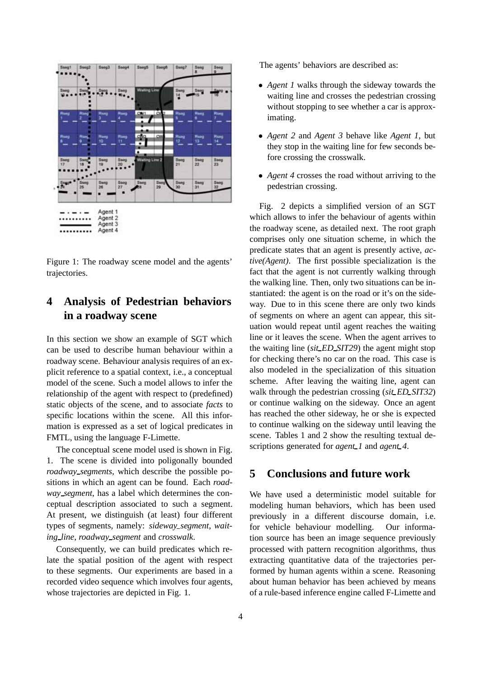

Figure 1: The roadway scene model and the agents' trajectories.

# **4 Analysis of Pedestrian behaviors in a roadway scene**

In this section we show an example of SGT which can be used to describe human behaviour within a roadway scene. Behaviour analysis requires of an explicit reference to a spatial context, i.e., a conceptual model of the scene. Such a model allows to infer the relationship of the agent with respect to (predefined) static objects of the scene, and to associate *facts* to specific locations within the scene. All this information is expressed as a set of logical predicates in FMTL, using the language F-Limette.

The conceptual scene model used is shown in Fig. 1. The scene is divided into poligonally bounded *roadway segments*, which describe the possible positions in which an agent can be found. Each *roadway segment*, has a label which determines the conceptual description associated to such a segment. At present, we distinguish (at least) four different types of segments, namely: *sideway segment*, *waiting line*, *roadway segment* and *crosswalk*.

Consequently, we can build predicates which relate the spatial position of the agent with respect to these segments. Our experiments are based in a recorded video sequence which involves four agents, whose trajectories are depicted in Fig. 1.

The agents' behaviors are described as:

- *• Agent 1* walks through the sideway towards the waiting line and crosses the pedestrian crossing without stopping to see whether a car is approximating.
- *• Agent 2* and *Agent 3* behave like *Agent 1*, but they stop in the waiting line for few seconds before crossing the crosswalk.
- *Agent 4* crosses the road without arriving to the pedestrian crossing.

Fig. 2 depicts a simplified version of an SGT which allows to infer the behaviour of agents within the roadway scene, as detailed next. The root graph comprises only one situation scheme, in which the predicate states that an agent is presently active, *active(Agent)*. The first possible specialization is the fact that the agent is not currently walking through the walking line. Then, only two situations can be instantiated: the agent is on the road or it's on the sideway. Due to in this scene there are only two kinds of segments on where an agent can appear, this situation would repeat until agent reaches the waiting line or it leaves the scene. When the agent arrives to the waiting line (*sit ED SIT29*) the agent might stop for checking there's no car on the road. This case is also modeled in the specialization of this situation scheme. After leaving the waiting line, agent can walk through the pedestrian crossing (*sit ED SIT32*) or continue walking on the sideway. Once an agent has reached the other sideway, he or she is expected to continue walking on the sideway until leaving the scene. Tables 1 and 2 show the resulting textual descriptions generated for *agent* 1 and *agent* 4.

# **5 Conclusions and future work**

We have used a deterministic model suitable for modeling human behaviors, which has been used previously in a different discourse domain, i.e. for vehicle behaviour modelling. Our information source has been an image sequence previously processed with pattern recognition algorithms, thus extracting quantitative data of the trajectories performed by human agents within a scene. Reasoning about human behavior has been achieved by means of a rule-based inference engine called F-Limette and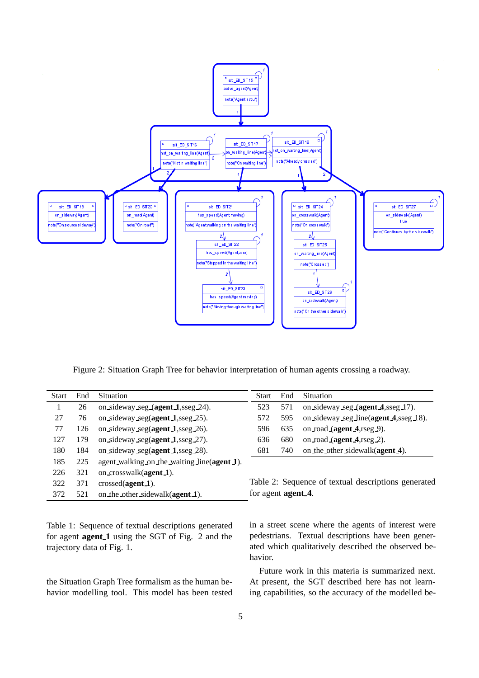

Figure 2: Situation Graph Tree for behavior interpretation of human agents crossing a roadway.

| Start | End | <b>Situation</b>                              | <b>Start</b>       | End | <b>Situation</b>                                    |
|-------|-----|-----------------------------------------------|--------------------|-----|-----------------------------------------------------|
|       | 26  | on sideway seg $(agent_1, \text{sseg } 24)$ . | 523                | 571 | on sideway seg (agent 4, sseg 17).                  |
| 27    | 76  | on sideway seg(agent 1,sseg 25).              | 572                | 595 | on sideway seg line(agent 4, sseg 18).              |
| 77    | 126 | on sideway seg(agent 1,sseg 26).              | 596                | 635 | on road (agent $4$ , rseg $9$ ).                    |
| 127   | 179 | on sideway seg(agent $1$ , seg 27).           | 636                | 680 | on road (agent $4$ , rseg 2).                       |
| 180   | 184 | on sideway seg(agent 1, seg 28).              | 681                | 740 | on the other sidewalk(agent 4).                     |
| 185   | 225 | agent_walking_on_the_waiting_line(agent 1).   |                    |     |                                                     |
| 226   | 321 | on crosswalk(agent 1).                        |                    |     |                                                     |
| 322   | 371 | $crossed(\text{agent 1}).$                    |                    |     | Table 2: Sequence of textual descriptions generated |
| 372   | 521 | on the other sidewalk(agent 1).               | for agent agent 4. |     |                                                     |

Table 1: Sequence of textual descriptions generated for agent **agent 1** using the SGT of Fig. 2 and the trajectory data of Fig. 1.

the Situation Graph Tree formalism as the human behavior modelling tool. This model has been tested

in a street scene where the agents of interest were pedestrians. Textual descriptions have been generated which qualitatively described the observed behavior.

Future work in this materia is summarized next. At present, the SGT described here has not learning capabilities, so the accuracy of the modelled be